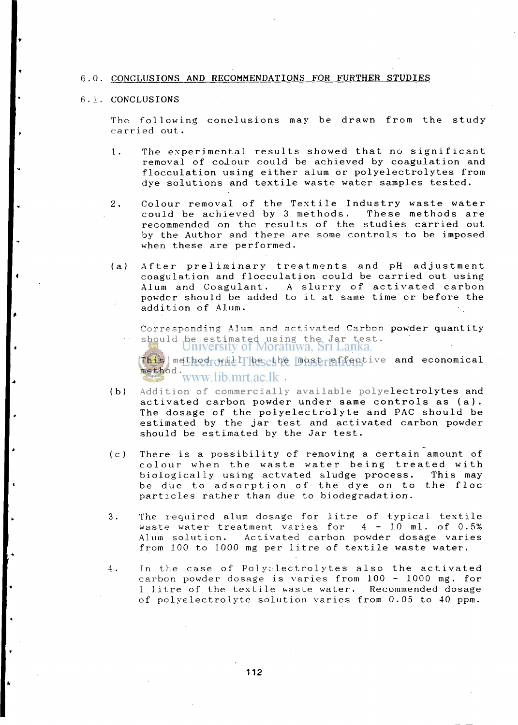### **6.0. CONCLUSIONS AND RECOMMENDATIONS FOR FURTHER STUDIES**

### **6 . 1 . CONCLUSIONS**

**T he followin g conclusion s may be draw n fro m th e stud y**  carried out.

- 1. The experimental results showed that no significant **remova l o f colou r coul d be achieve d by coagulatio n and flocculatio n usin g eithe r alu m o r polyelectrolyte s fro m d y e solution s and textil e wast e wate r sample s tested .**
- Colour removal of the Textile Industry waste water  $2.$ could be achieved by 3 methods. These methods are **recommende d on th e result s o f the studie s carrie d out by th e Autho r and ther e ar e some control s t o be impose d**  when these are performed.
- **( a ) Afte r preliminar y treatment s and pH adjustmen t coagulatio n and flocculatio n coul d be carrie d out usin g**  Alum and Coagulant. A slurry of activated carbon **powde r shoul d be adde d t o i t a t same tim e o r befor e th e additio n o f Alum .**

Corresponding Alum and activated Carbon powder quantity should be estimated using the Jar test.<br>University of Moratuwa, Sri Lanka.

 $\text{This}$  method will be the most effective and economical **method.** 

- **( b) Additio n o f commerciall y availabl e polyelectrolyte s and activate d carbo n powde r unde r sam e control s a s (a) .**  The dosage of the polyelectrolyte and PAC should be **estimate d by th e ja r tes t and activate d carbo n powde r**  should be estimated by the Jar test.
- **( c ) Ther e i s a possibilit y o f removing a certai n amount o f colou r whe n th e wast e wate r bein g treate d wit h biologicall y usin g actvate d sludg e process . Thi s may be du e t o adsorptio n o f th e dy e o n t o th e flo e particles** rather than due to biodegradation.
- **3 . The require d alu m dosag e fo r litr e o f typica l textil e**   $\text{waste water treatment varies}$  for  $4 - 10$  ml. of 0.5% **Alum solution . Activate d carbo n powde r dosag e varie s from 10 0 t o 100 0 mg pe r litr e o f textil e wast e water .**
- **4 . In th e cas e o f Polyelectrolyte s als o th e activate d carbo n powde r dosag e i s varie s from 10 0 - 100 0 mg. fo r 1 litr e o f the textil e wast e water . Recommended dosag e o f polyelectrolyt e solutio n varie s fro m 0.0 5 t o 4 0 ppm.**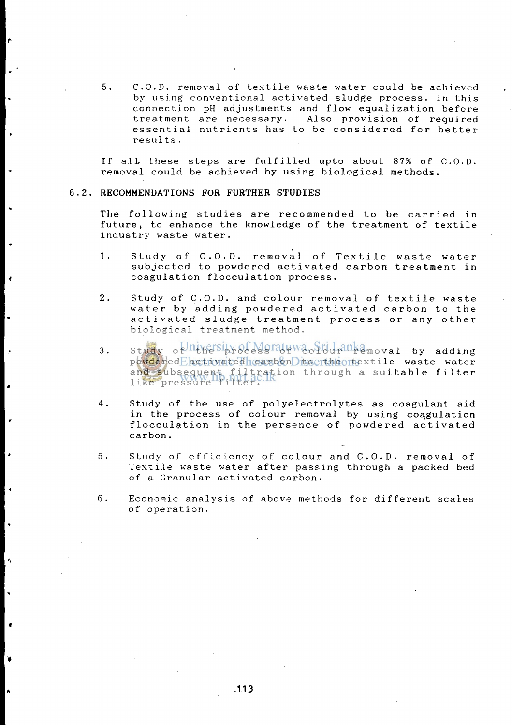5. C.O.D. removal of textile waste water could be achieved by using conventional activated sludge process. In this connection pH adjustments and flow equalization before treatment are necessary. Also provision of required essential nutrients has to be considered for better results.

If all these steps are fulfilled upto about 87% of C.O.D. removal could be achieved by using biological methods.

### **RECOMMENDATIONS FOR FURTHER STUDIES**

 $\Delta$ 

ø

The following studies are recommended to be carried in future, to enhance the knowledge of the treatment of textile industry waste water.

- 1. Study of C.O.D. removal of Textile waste water subjected to powdered activated carbon treatment in coagulation flocculation process.
- 2. Study of C.O.D. and colour removal of textile waste water by adding powdered activated carbon to the activated sludge treatment process or any other biological treatment method.
- $3.$  Study of  $\frac{1}{2}$  study of  $\frac{1}{2}$  of  $\frac{1}{2}$  of  $\frac{1}{2}$  and  $\frac{1}{2}$  and  $\frac{1}{2}$  by adding powdered activated carbon to crime rextile waste water and subsequent filtration through a su**itable filter** like pressure filter.
- 4. Study of the use of polyelectrolytes as coagulant aid in the process of colour removal by using coagulation flocculation in the persence of powdered activated carbon.
- 5. Study of efficiency of colour and C.O.D. removal of Textile waste water after passing through a packed bed of a Granular activated carbon.
- 6. Economic analysis of above methods for different scales of operation.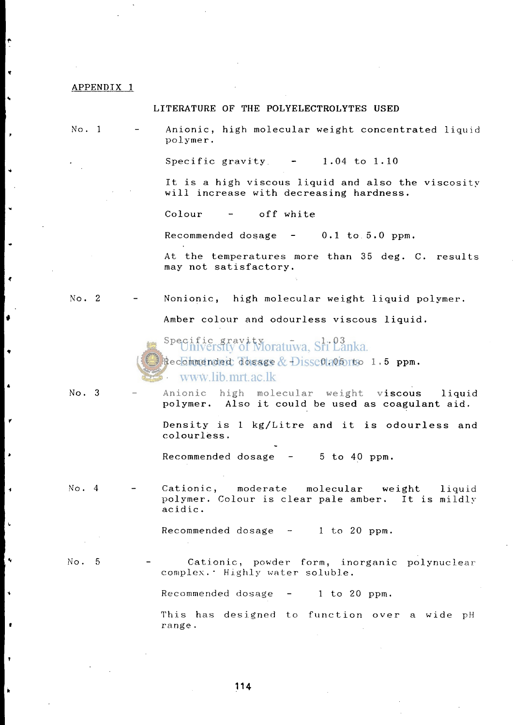### **APPENDIX 1**

### **LITERATURE OF THE POLYELECTROLYTES USED**

**N o . 1 - Anionic , hig h molecula r weigh t concentrate d liqui d polymer .** 

Specific gravity - 1.04 to 1.10

It is a high viscous liquid and also the viscosity **wil l increas e wit h decreasin g hardness .** 

Colour - off white

Recommended dosage - 0.1 to 5.0 ppm.

At the temperatures more than 35 deg. C. results  $max$  not satisfactory.

No. 2 - Nonionic, high molecular weight liquid polymer.

Amber colour and odourless viscous liquid.

Specific gravity<br>Chiversity of Moratuwa, Sri Lanka.

**Recommended dosag e - 0.0 5 t o 1. 5 ppm.**  www.lib.mrt.ac.lk

- 
- No. 3 Anionic high molecular weight viscous liquid **polymer.** Also it could be used as coagulant aid.

**Densit y i s 1 kg/Litr e and i t i s odourles s and colourless .** 

Recommended dosage - 5 to 40 ppm.

No. 4 - Cationic, moderate molecular weight liquid **polymer . Colour i s clea r pal e amber . I t i s mildl y acidi c .** 

 $Recommented dosage - 1 to 20 ppm.$ 

 $\blacktriangleleft$ 

No. 5 - Cationic, powder form, inorganic polynuclear **complex. " Highl y wate r soluble .** 

Recommended dosage - 1 to 20 ppm.

**Thi s ha s designe d t o functio n ove r a wid e** p H range.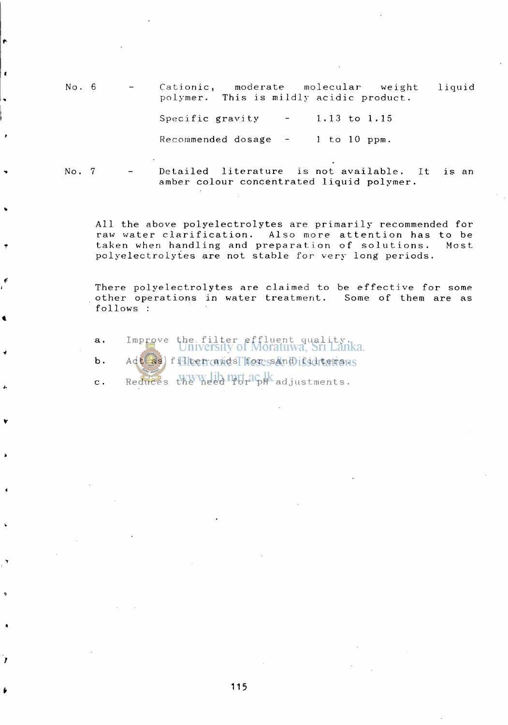1iquid 6 Cationic, moderate molecular weight This is mildly acidic product. polymer. Specific gravity  $-1.13$  to  $1.15$ Recommended dosage  $-$  1 to 10 ppm. Detailed literature is not available,  $No. 7$ is an amber colour concentrated liquid polymer.

All the above polyelectrolytes are primarily recommended for raw water clarification. Also more attention has to be taken when handling and preparation of solutions. Most polyelectrolytes are not stable for very long periods.

There polyelectrolytes are claimed to be effective for some other operations in water treatment. Some of them are as follows :

- a. Improve the filter effluent quality.<br>University of Moratuwa, Sri Lanka. b. Act as filter and for sand is diterent
- $c.$  Reduces the need  $P_0H^c$  adjustments.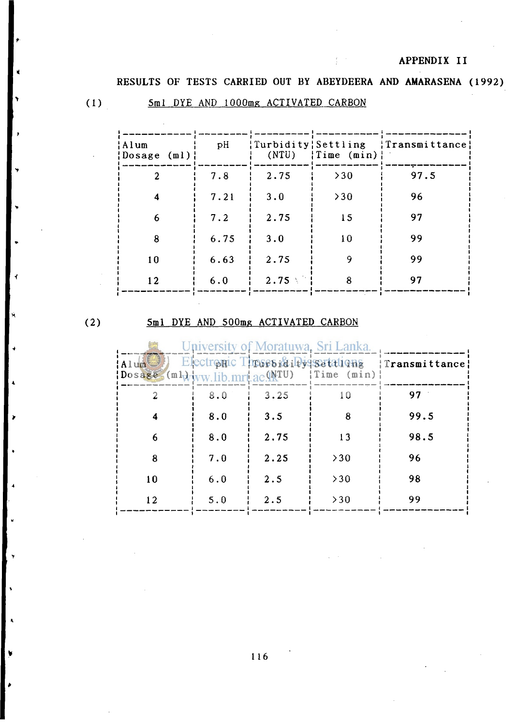# **APPENDIX II**

**RESULTS OF TESTS CARRIED OUT BY ABEYDEERA AND AMARASENA (1992)** 

$$
(1)
$$

<sup>&</sup>gt; (1) 5ml DYE AND lOOOmg ACTIVATED CARBON

| Alum<br>$\{Dosage(m1)\}\$   | pH   | (NTU) | $\{Time \ (min)\}\$ | {Turbidity   Settling   Transmittance |
|-----------------------------|------|-------|---------------------|---------------------------------------|
| $\mathcal{D}_{\mathcal{L}}$ | 7.8  | 2.75  | >30                 | 97.5                                  |
| 4                           | 7.21 | 3.0   | >30                 | 96                                    |
| 6                           | 7.2  | 2.75  | 15                  | 97                                    |
| 8                           | 6.75 | 3.0   | 10                  | 99                                    |
| 10                          | 6.63 | 2.75  | 9                   | 99                                    |
| 12                          | 6.0  | 2.75  | 8                   | 97                                    |

 $(2)$ 

# 5ml DYE AND 500mg ACTIVATED CARBON

| Alum<br>$\text{lossage}(m\text{-}v_{\text{WW}})$ ib mrt ac (NTU) |     | University of Moratuwa, Sri Lanka.<br>Electronic Throse Riby setations | $\{Time \ (min)\}$ | Transmittance: |
|------------------------------------------------------------------|-----|------------------------------------------------------------------------|--------------------|----------------|
|                                                                  | 8.0 | 3.25                                                                   | 10                 | 97             |
|                                                                  | 8.0 | 3.5                                                                    | 8                  | 99.5           |
| 6                                                                | 8.0 | 2.75                                                                   | 13                 | 98.5           |
| 8                                                                | 7.0 | 2.25                                                                   | >30                | 96             |
| 10                                                               | 6.0 | 2.5                                                                    | >30                | 98             |
| 12                                                               | 5.0 | 2.5                                                                    | >30                | 99             |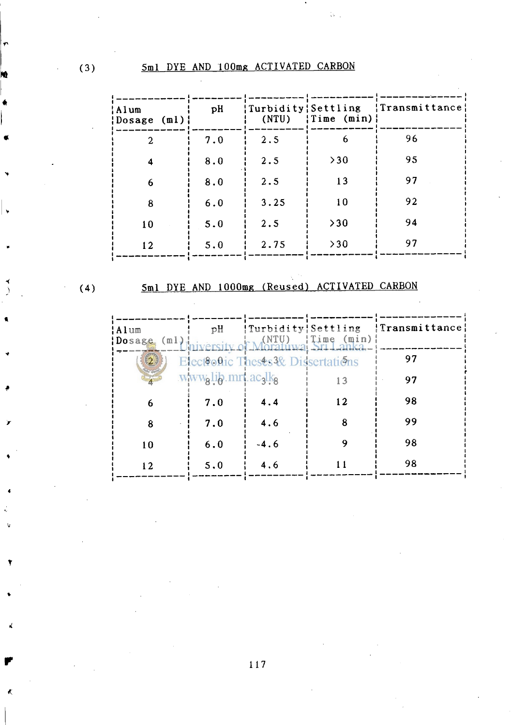| Alum!<br>$\{Dosage(m1)\}\$ | pH  | Turbidity   Settling<br>(NTU) | $\{Time \ (min)\}\$ | $\{Transmittance\}$ |
|----------------------------|-----|-------------------------------|---------------------|---------------------|
| $\overline{2}$             | 7.0 | 2.5                           | 6                   | 96                  |
| 4                          | 8.0 | 2.5                           | >30                 | 95                  |
| 6                          | 8.0 | 2.5                           | 13                  | 97                  |
| 8                          | 6.0 | 3.25                          | 10                  | 92                  |
| 10                         | 5.0 | 2.5                           | >30                 | 94                  |
| 12                         | 5.0 | 2.75                          | >30                 | 97                  |

₿.,

$$
(4)
$$

# 5ml DYE AND lOOOme (Reused) ACTIVATED CARBON

| ¦Alum<br>Dosage (ml) iniversity of Moratuwa Sri Lanka | pH                 | {Turbidity}Settling                | $\parallel$ Time (min) $\parallel$ | <b>Transmittance</b> |
|-------------------------------------------------------|--------------------|------------------------------------|------------------------------------|----------------------|
| (2)                                                   |                    | Electronic Theses 3& Dissertations |                                    | 97                   |
|                                                       | www.lib.mrt.acalkg |                                    | 13                                 | 97                   |
| 6                                                     | 7.0                | 4.4                                | 12                                 | 98                   |
| 8                                                     | 7.0                | 4.6                                | 8                                  | 99                   |
| 10                                                    | 6.0                | $-4.6$                             |                                    | 98                   |
| 12.                                                   | 5.0                | 4.6                                |                                    | 98                   |

117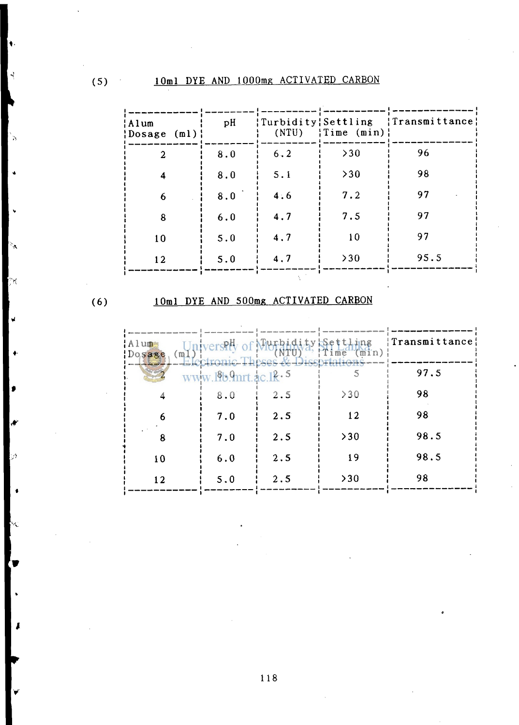| ¦Alum<br>$\{Dosage(m1)\}\$ | pH  | (NTU) | $\{Time \ (min)\}\$ | {Turbidity   Settling   Transmittance |
|----------------------------|-----|-------|---------------------|---------------------------------------|
| 2                          | 8.0 | 6.2   | >30                 | 96                                    |
| 4                          | 8.0 | 5.1   | >30                 | 98                                    |
| 6                          | 8.0 | 4:6   | 7.2                 | 97                                    |
| 8                          | 6.0 | 4.7   | 7.5                 | 97                                    |
| 10                         | 5.0 | 4.7   | 10                  | 97                                    |
| 12                         | 5.0 | 4.7   | >30                 | 95.5                                  |

$$
(6)
$$

rt

# **(6) 10ml DYE AND 500mg ACTIVATED CARBON**

| Alum <sub>s</sub><br>(m)<br>Dosage |                          | niversity of Murbidity Settling<br>Electronic Theses & Disspriation | Time | <b>Transmittance</b> |
|------------------------------------|--------------------------|---------------------------------------------------------------------|------|----------------------|
|                                    | www $1819$ mrt 10 $18.5$ |                                                                     |      | 97.5                 |
|                                    | 8.0                      | 2.5                                                                 | >30  | 98                   |
| 6                                  | 7.0                      | 2.5                                                                 | 12   | 98                   |
| 8                                  | 7.0                      | 2.5                                                                 | >30  | 98.5                 |
| 10                                 | 6.0                      | 2.5                                                                 | 19   | 98.5                 |
| 12                                 | 5.0                      | 2.5                                                                 | >30  | 98                   |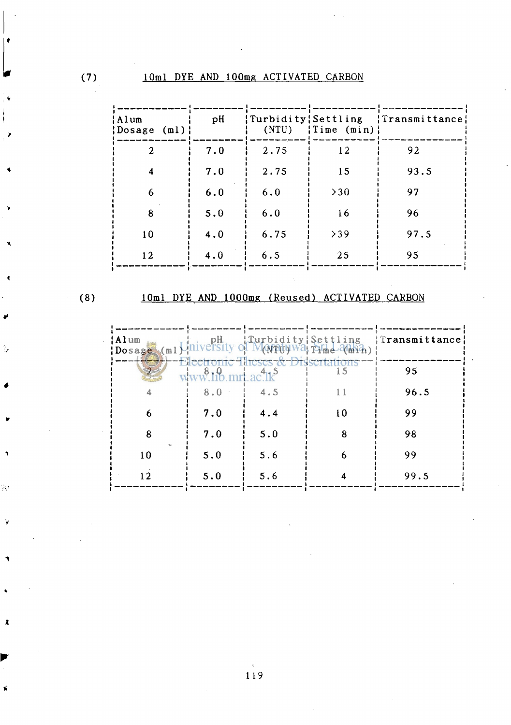| ¦Alum<br>{Dosage (ml); | pH  | (NTU) | $\{Time \ (min)\}\$ | {Turbidity { Settling { Transmittance } |
|------------------------|-----|-------|---------------------|-----------------------------------------|
| $\overline{2}$         | 7.0 | 2.75  | 12                  | 92                                      |
| 4                      | 7.0 | 2.75  | 15                  | 93.5                                    |
| 6                      | 6.0 | 6.0   | >30                 | 97                                      |
| 8                      | 5.0 | 6.0   | 16                  | 96                                      |
| 10                     | 4.0 | 6.75  | >39                 | 97.5                                    |
| 12                     | 4.0 | 6.5   | 25                  | 95                                      |

$$
(8)
$$

 $\frac{\partial f}{\partial x}$ 

深

 $\pmb{\lambda}$ 

# 10ml DYE AND lOOOmg (Reused) ACTIVATED CARBON

| Alum<br>$Dosage$ (ml | pH. | $ T$ urbidity $\int$ settling          | ANTHUWA THE MHih) | Transmittance |
|----------------------|-----|----------------------------------------|-------------------|---------------|
|                      |     | H <del>reces &amp; Dissertainors</del> | 15                | 95            |
|                      | 8.0 | 4.5                                    |                   | 96.5          |
| 6                    | 7.0 | 4.4                                    | 10                | 99            |
| 8                    | 7.0 | 5.0                                    | 8                 | 98            |
| 10                   | 5.0 | 5.6                                    | 6                 | 99            |
| ר ו                  | 5.0 | 5.6                                    |                   | 99.5          |

 $\mathcal{S}^{\pm}$  $119$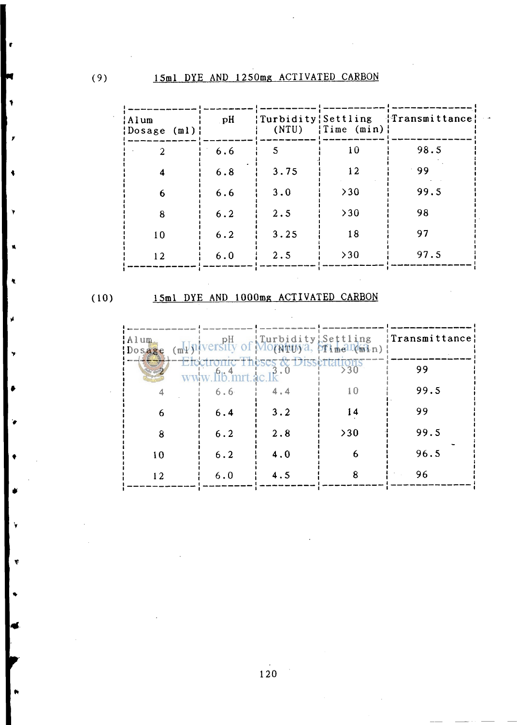| Alum<br> Dosage (ml) | pH  | (NTU) | $\{Time \ (min)\}\$ | {Turbidity { Settling { { Transmittance } |
|----------------------|-----|-------|---------------------|-------------------------------------------|
| $\overline{2}$       | 6.6 | 5     | 10                  | 98.5                                      |
| 4                    | 6.8 | 3.75  | 12                  | 99                                        |
| 6                    | 6.6 | 3.0   | >30                 | 99.5                                      |
| 8                    | 6.2 | 2.5   | >30                 | 98                                        |
| 10                   | 6.2 | 3.25  | 18                  | 97                                        |
| 12                   | 6.0 | 2.5   | >30                 | 97.5                                      |

# (10) 15ml DYE AND lOOOmg ACTIVATED CARBON

| Alum<br>Doese |                     |                                   | pH Iurbidity!Settling<br> versity of Mo(ATUy), pTimelT(min) | {Transmittance} |
|---------------|---------------------|-----------------------------------|-------------------------------------------------------------|-----------------|
|               | $www$ lib mrt ac lk | Electronic Theses & Dissertations |                                                             | 99              |
|               | 6.6                 | 4.4                               | 10                                                          | 99.5            |
| 6             | 6.4                 | 3.2                               | 14                                                          | 99              |
| 8             | 6.2                 | 2.8                               | >30                                                         | 99.5            |
| 10            | 6.2                 | 4.0                               | 6                                                           | 96.5            |
| 12            | 6.0                 | 4.5                               |                                                             | 96              |

**•** 

V

120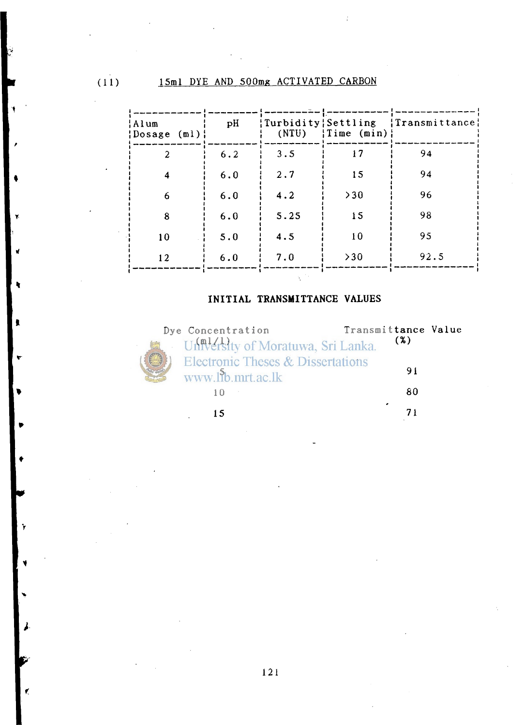(11) 15ml DYE AND 500mg ACTIVATED CARBON

| ¦Alum<br>¦Dosage (ml)¦ | pH  | (NTU) | $\{Time \ (min)\}\$ | {Turbidity { Settling { Transmittance } |
|------------------------|-----|-------|---------------------|-----------------------------------------|
| $\overline{2}$         | 6.2 | 3.5   | 17                  | 94                                      |
| 4                      | 6.0 | 2.7   | 15                  | 94                                      |
| 6                      | 6.0 | 4.2   | >30                 | 96                                      |
| 8                      | 6.0 | 5.25  | 15                  | 98                                      |
| 10                     | 5.0 | 4.5   | 10                  | 95                                      |
| 12                     | 6.0 | 7.0   | >30                 | 92.5                                    |
|                        |     |       |                     |                                         |

## **INITIAL TRANSMITTANCE VALUES**



Y

| <b>Concentration</b>                                   | Transmittance Value |  |
|--------------------------------------------------------|---------------------|--|
| University of Moratuwa, Sri Lanka.                     | (%)                 |  |
| Electronic Theses & Dissertations<br>www.lib.mrt.ac.lk | 91                  |  |
|                                                        | 80                  |  |
|                                                        | ۰                   |  |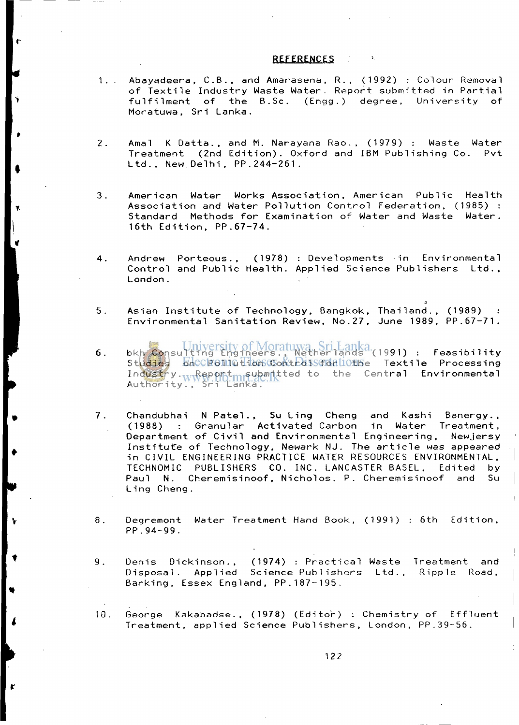### **REFERENCES**

- 1. . Abayadeera, C.B., and Amarasena, R., (1992) : Colour Removal of Textile Industry Waste Water. Report submitted in Partial fulfilment of the B.Sc. (Engg.) degree. University of Moratuwa, Sri Lanka.
- 2. Amal K Datta., and M. Narayana Rao., (1979) : Waste Water Treatment (2nd Edition). Oxford and IBM Publishing Co. Pvt Ltd., New Delhi, PP.244-261.
- **3 .** American Water Works Association, American Public Health Association and Water Pollution Control Federation, (1985) : Standard Methods for Examination of Water and Waste Water. 16th Edition. PP.67-74.
- 4. Andrew Porteous., (1978) : Developments in Environmental Control and Public Health. Applied Science Publishers Ltd., London.
- 5. Asian Institute of Technology, Bangkok, Thailand., (1989) : Environmental Sanitation Review, No.27, June 1989, PP.67-71.
- 6. bkh Consulting Engineers., Netherlands (1991) : Feasibility St<mark>udies onCC</mark>Pollution Control for Textile Processing Industry.<sub>ww</sub>Report<sub>mi</sub>submntted to the Cent**ral Environmental** Authority., Sri Lanka.
- 7. Chandubhai N Patel.**, Su** Ling Cheng and Kashi Banergy., (1988) : Granular Activated Carbon Department of Civil and Environmental Engineering, Newjersy Institute of Technology, Newark NJ. The article was appeared in CIVIL ENGINEERING PRACTICE WATER RESOURCES ENVIRONMENTAL, TECHNOMIC PUBLISHERS CO. INC. LANCASTER BASEL, Edited by Paul N. Cheremisinoof. Nicholos. P. Cheremisinoof and Su Ling Cheng.
- 8. Degremont Water Treatment Hand Book, (1991) : 6th Edition, PP.94-99 .
- 9. Denis Dickinson., (1974) : Practical Waste Treatment and Disposal. Applied Science Publishers Ltd., Ripple Road, Barking, Essex England, PP.187-195.
- 10. George Kakabadse., (1978) (Editor) : Chemistry of Effluent Treatment, applied Science Publishers, London, PP.39-56.